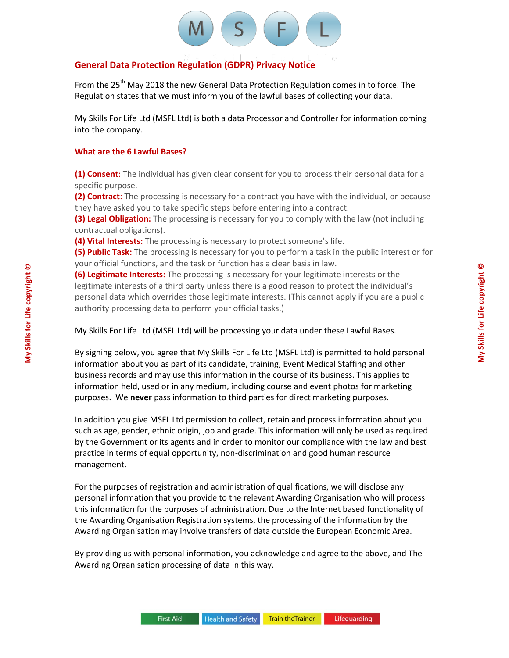

## **General Data Protection Regulation (GDPR) Privacy Notice**

From the 25<sup>th</sup> May 2018 the new General Data Protection Regulation comes in to force. The Regulation states that we must inform you of the lawful bases of collecting your data.

My Skills For Life Ltd (MSFL Ltd) is both a data Processor and Controller for information coming into the company.

## **What are the 6 Lawful Bases?**

**My Skills for Life copyright ©**

My Skills for Life copyright ©

**(1) Consent**: The individual has given clear consent for you to process their personal data for a specific purpose.

**(2) Contract**: The processing is necessary for a contract you have with the individual, or because they have asked you to take specific steps before entering into a contract.

**(3) Legal Obligation:** The processing is necessary for you to comply with the law (not including contractual obligations).

**(4) Vital Interests:** The processing is necessary to protect someone's life.

**(5) Public Task:** The processing is necessary for you to perform a task in the public interest or for your official functions, and the task or function has a clear basis in law.

**(6) Legitimate Interests:** The processing is necessary for your legitimate interests or the legitimate interests of a third party unless there is a good reason to protect the individual's personal data which overrides those legitimate interests. (This cannot apply if you are a public authority processing data to perform your official tasks.)

My Skills For Life Ltd (MSFL Ltd) will be processing your data under these Lawful Bases.

By signing below, you agree that My Skills For Life Ltd (MSFL Ltd) is permitted to hold personal information about you as part of its candidate, training, Event Medical Staffing and other business records and may use this information in the course of its business. This applies to information held, used or in any medium, including course and event photos for marketing purposes. We **never** pass information to third parties for direct marketing purposes.

In addition you give MSFL Ltd permission to collect, retain and process information about you such as age, gender, ethnic origin, job and grade. This information will only be used as required by the Government or its agents and in order to monitor our compliance with the law and best practice in terms of equal opportunity, non-discrimination and good human resource management.

For the purposes of registration and administration of qualifications, we will disclose any personal information that you provide to the relevant Awarding Organisation who will process this information for the purposes of administration. Due to the Internet based functionality of the Awarding Organisation Registration systems, the processing of the information by the Awarding Organisation may involve transfers of data outside the European Economic Area.

By providing us with personal information, you acknowledge and agree to the above, and The Awarding Organisation processing of data in this way.

 $\circledcirc$